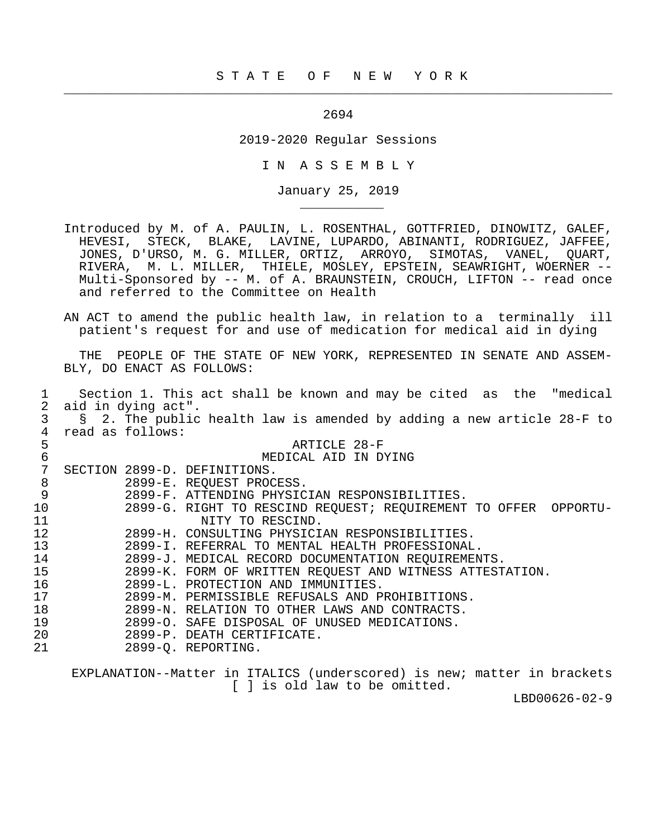2694

 $\frac{1}{2}$  , and the contribution of the contribution of the contribution of the contribution of the contribution of the contribution of the contribution of the contribution of the contribution of the contribution of the c

\_\_\_\_\_\_\_\_\_\_\_

2019-2020 Regular Sessions

I N A S S E M B L Y

January 25, 2019

 Introduced by M. of A. PAULIN, L. ROSENTHAL, GOTTFRIED, DINOWITZ, GALEF, HEVESI, STECK, BLAKE, LAVINE, LUPARDO, ABINANTI, RODRIGUEZ, JAFFEE, JONES, D'URSO, M. G. MILLER, ORTIZ, ARROYO, SIMOTAS, VANEL, QUART, RIVERA, M. L. MILLER, THIELE, MOSLEY, EPSTEIN, SEAWRIGHT, WOERNER -- Multi-Sponsored by -- M. of A. BRAUNSTEIN, CROUCH, LIFTON -- read once and referred to the Committee on Health

 AN ACT to amend the public health law, in relation to a terminally ill patient's request for and use of medication for medical aid in dying

 THE PEOPLE OF THE STATE OF NEW YORK, REPRESENTED IN SENATE AND ASSEM- BLY, DO ENACT AS FOLLOWS:

|                | Section 1. This act shall be known and may be cited as the "medical     |
|----------------|-------------------------------------------------------------------------|
| 2              | aid in dying act".                                                      |
| 3              | § 2. The public health law is amended by adding a new article 28-F to   |
| $\overline{4}$ | read as follows:                                                        |
| 5              | ARTICLE 28-F                                                            |
| $\sqrt{6}$     | MEDICAL AID IN DYING                                                    |
| 7              | SECTION 2899-D. DEFINITIONS.                                            |
| 8              | 2899-E. REQUEST PROCESS.                                                |
| 9              | 2899-F. ATTENDING PHYSICIAN RESPONSIBILITIES.                           |
| 10             | 2899-G. RIGHT TO RESCIND REQUEST; REQUIREMENT TO OFFER OPPORTU-         |
| 11             | NITY TO RESCIND.                                                        |
| 12             | 2899-H. CONSULTING PHYSICIAN RESPONSIBILITIES.                          |
| 13             | 2899-I. REFERRAL TO MENTAL HEALTH PROFESSIONAL.                         |
| 14             | 2899-J. MEDICAL RECORD DOCUMENTATION REQUIREMENTS.                      |
| 15             | 2899-K. FORM OF WRITTEN REQUEST AND WITNESS ATTESTATION.                |
| 16             | 2899-L. PROTECTION AND IMMUNITIES.                                      |
| 17             | 2899-M. PERMISSIBLE REFUSALS AND PROHIBITIONS.                          |
| 18             | 2899-N. RELATION TO OTHER LAWS AND CONTRACTS.                           |
| 19             | 2899-O. SAFE DISPOSAL OF UNUSED MEDICATIONS.                            |
| 20             | 2899-P. DEATH CERTIFICATE.                                              |
| 21             | 2899-O. REPORTING.                                                      |
|                |                                                                         |
|                | EXPLANATION--Matter in ITALICS (underscored) is new; matter in brackets |

[ ] is old law to be omitted.

LBD00626-02-9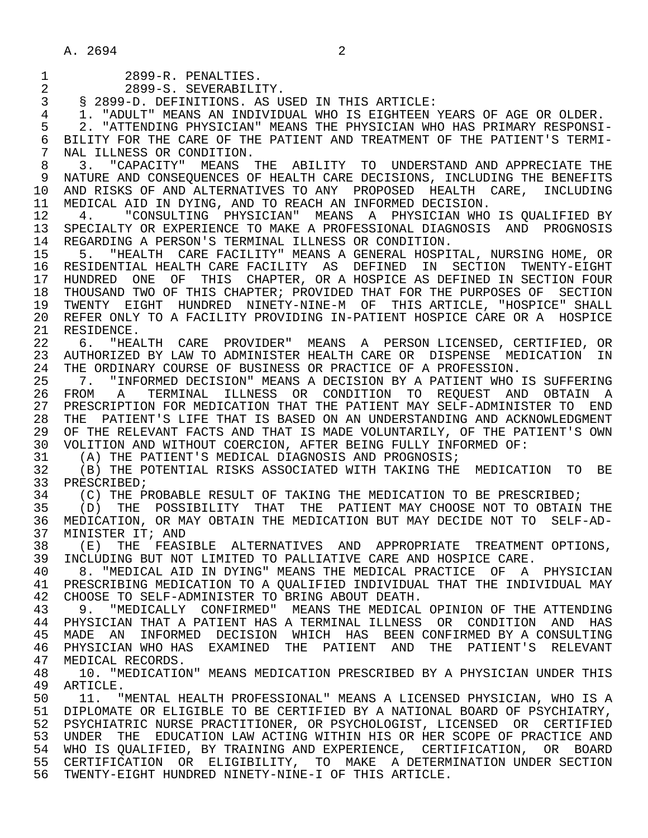|  | 2899-R. PENALTIES. |
|--|--------------------|
|  |                    |

2 2899-S. SEVERABILITY.<br>3 8 2899-D. DEFINITIONS. AS U. 3 § 2899-D. DEFINITIONS. AS USED IN THIS ARTICLE:

 4 1. "ADULT" MEANS AN INDIVIDUAL WHO IS EIGHTEEN YEARS OF AGE OR OLDER. 5 2. "ATTENDING PHYSICIAN" MEANS THE PHYSICIAN WHO HAS PRIMARY RESPONSI-<br>6 BILITY FOR THE CARE OF THE PATIENT AND TREATMENT OF THE PATIENT'S TERMI-6 BILITY FOR THE CARE OF THE PATIENT AND TREATMENT OF THE PATIENT'S TERMI-<br>7 NAL ILLNESS OR CONDITION.

7 NAL ILLNESS OR CONDITION.<br>8 3. "CAPACITY" MEANS 8 3. "CAPACITY" MEANS THE ABILITY TO UNDERSTAND AND APPRECIATE THE 1999 NATURE AND CONSEOUENCES OF HEALTH CARE DECISIONS, INCLUDING THE BENEFITS 9 NATURE AND CONSEQUENCES OF HEALTH CARE DECISIONS, INCLUDING THE BENEFITS<br>10 AND RISKS OF AND ALTERNATIVES TO ANY PROPOSED HEALTH CARE. INCLUDING 10 AND RISKS OF AND ALTERNATIVES TO ANY PROPOSED HEALTH CARE, INCLUDING<br>11 MEDICAL AID IN DYING, AND TO REACH AN INFORMED DECISION. 11 MEDICAL AID IN DYING, AND TO REACH AN INFORMED DECISION.<br>12 4. "CONSULTING PHYSICIAN" MEANS A PHYSICIAN WHO

12 4. "CONSULTING PHYSICIAN" MEANS A PHYSICIAN WHO IS QUALIFIED BY<br>13 SPECIALTY OR EXPERIENCE TO MAKE A PROFESSIONAL DIAGNOSIS AND PROGNOSIS 13 SPECIALTY OR EXPERIENCE TO MAKE A PROFESSIONAL DIAGNOSIS AND PROGNOSIS<br>14 REGARDING A PERSON'S TERMINAL ILLNESS OR CONDITION 14 REGARDING A PERSON'S TERMINAL ILLNESS OR CONDITION.<br>15 5. "HEALTH CARE FACILITY" MEANS A GENERAL HOSPI'

 15 5. "HEALTH CARE FACILITY" MEANS A GENERAL HOSPITAL, NURSING HOME, OR 16 RESIDENTIAL HEALTH CARE FACILITY AS DEFINED IN SECTION TWENTY-EIGHT 17 HUNDRED ONE OF THIS CHAPTER, OR A HOSPICE AS DEFINED IN SECTION FOUR 18 THOUSAND TWO OF THIS CHAPTER; PROVIDED THAT FOR THE PURPOSES OF SECTION<br>19 TWENTY RIGHT HUNDRED NINETY-NINE-M OF THIS ARTICLE. "HOSPICE" SHALL 19 TWENTY EIGHT HUNDRED NINETY-NINE-M OF THIS-ARTICLE, "HOSPICE" SHALL<br>20 REFER-ONLY-TO-A-FACILITY-PROVIDING-IN-PATIENT-HOSPICE-CARE-OR-A-HOSPICE 20 REFER ONLY TO A FACILITY PROVIDING IN-PATIENT HOSPICE CARE OR A HOSPICE<br>21 RESIDENCE. 21 RESIDENCE.<br>22 6. "HEA

 22 6. "HEALTH CARE PROVIDER" MEANS A PERSON LICENSED, CERTIFIED, OR 23 AUTHORIZED BY LAW TO ADMINISTER HEALTH CARE OR DISPENSE MEDICATION IN 24 THE ORDINARY COURSE OF BUSINESS OR PRACTICE OF A PROFESSION.<br>25 T. "INFORMED DECISION" MEANS A DECISION BY A PATIENT WHO

 25 7. "INFORMED DECISION" MEANS A DECISION BY A PATIENT WHO IS SUFFERING 26 FROM A TERMINAL ILLNESS OR CONDITION TO REQUEST AND OBTAIN A 27 PRESCRIPTION FOR MEDICATION THAT THE PATIENT MAY SELF-ADMINISTER TO END 28 THE PATIENT'S LIFE THAT IS BASED ON AN UNDERSTANDING AND ACKNOWLEDGMENT 29 OF THE RELEVANT FACTS AND THAT IS MADE VOLUNTARILY, OF THE PATIENT'S OWN 30 VOLITION AND WITHOUT COERCION, AFTER BEING FULLY INFORMED OF:<br>31 (A) THE PATIENT'S MEDICAL DIAGNOSIS AND PROGNOSIS;

31 (A) THE PATIENT'S MEDICAL DIAGNOSIS AND PROGNOSIS;<br>32 (B) THE POTENTIAL RISKS ASSOCIATED WITH TAKING THE

32 (B) THE POTENTIAL RISKS ASSOCIATED WITH TAKING THE MEDICATION TO BE 33 PRESCRIBED; 33 PRESCRIBED;<br>34 (C) THE P

34 (C) THE PROBABLE RESULT OF TAKING THE MEDICATION TO BE PRESCRIBED;<br>35 (D) THE POSSIBILITY THAT THE PATIENT MAY CHOOSE NOT TO OBTAIN

35 (D) THE POSSIBILITY THAT THE PATIENT MAY CHOOSE NOT TO OBTAIN THE 36 MEDICATION, OR MAY OBTAIN THE MEDICATION BUT MAY DECIDE NOT TO SELF-AD-36 MEDICATION, OR MAY OBTAIN THE MEDICATION BUT MAY DECIDE NOT TO SELF-AD-<br>37 MINISTER IT; AND

37 MINISTER IT; AND<br>38 (E) THE FEAS! 38 (E) THE FEASIBLE ALTERNATIVES AND APPROPRIATE TREATMENT OPTIONS,<br>39 INCLUDING BUT NOT LIMITED TO PALLIATIVE CARE AND HOSPICE CARE. 39 INCLUDING BUT NOT LIMITED TO PALLIATIVE CARE AND HOSPICE CARE.

40 8. "MEDICAL AID IN DYING" MEANS THE MEDICAL PRACTICE OF A PHYSICIAN<br>41 PRESCRIBING MEDICATION TO A OUALIFIED INDIVIDUAL THAT THE INDIVIDUAL MAY 41 PRESCRIBING MEDICATION TO A QUALIFIED INDIVIDUAL THAT THE INDIVIDUAL MAY<br>42 CHOOSE TO SELF-ADMINISTER TO BRING ABOUT DEATH. 42 CHOOSE TO SELF-ADMINISTER TO BRING ABOUT DEATH.<br>43 9. "MEDICALLY CONFIRMED" MEANS THE MEDICAL

43 9. "MEDICALLY CONFIRMED" MEANS THE MEDICAL OPINION OF THE ATTENDING<br>44 PHYSICIAN THAT A PATIENT HAS A TERMINAL ILLNESS OR CONDITION AND HAS 44 PHYSICIAN THAT A PATIENT HAS A TERMINAL ILLNESS OR CONDITION AND HAS<br>45 MADE AN INFORMED DECISION WHICH HAS BEEN CONFIRMED BY A CONSULTING 45 MADE AN INFORMED DECISION WHICH HAS BEEN CONFIRMED BY A CONSULTING 46 PHYSICIAN WHO HAS EXAMINED THE PATIENT AND THE PATIENT'S RELEVANT 47 MEDICAL RECORDS.<br>48 10. "MEDICATION

48 10. "MEDICATION" MEANS MEDICATION PRESCRIBED BY A PHYSICIAN UNDER THIS<br>49 ARTICLE. 49 ARTICLE.<br>50 11. "

50 11. "MENTAL HEALTH PROFESSIONAL" MEANS A LICENSED PHYSICIAN, WHO IS A<br>51 DIPLOMATE OR ELIGIBLE TO BE CERTIFIED BY A NATIONAL BOARD OF PSYCHIATRY, 51 DIPLOMATE OR ELIGIBLE TO BE CERTIFIED BY A NATIONAL BOARD OF PSYCHIATRY, 52 PSYCHIATRIC NURSE PRACTITIONER, OR PSYCHOLOGIST, LICENSED OR CERTIFIED 53 UNDER THE EDUCATION LAW ACTING WITHIN HIS OR HER SCOPE OF PRACTICE AND 54 WHO IS QUALIFIED, BY TRAINING AND EXPERIENCE, CERTIFICATION, OR BOARD 55 CERTIFICATION OR ELIGIBILITY, TO MAKE A DETERMINATION UNDER SECTION 56 TWENTY-EIGHT HUNDRED NINETY-NINE-I OF THIS ARTICLE.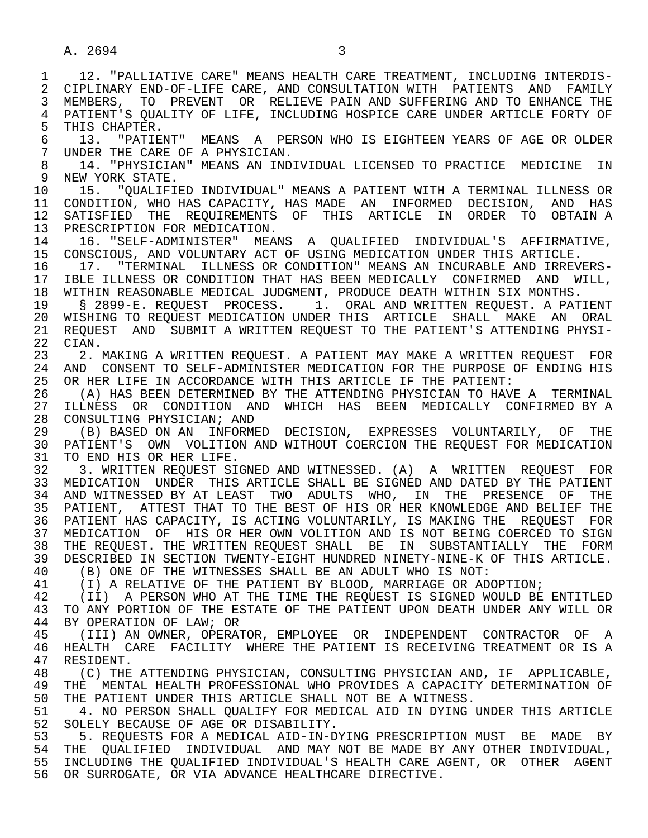1 12. "PALLIATIVE CARE" MEANS HEALTH CARE TREATMENT, INCLUDING INTERDIS-<br>2 CIPLINARY END-OF-LIFE CARE, AND CONSULTATION WITH PATIENTS AND FAMILY 2 CIPLINARY END-OF-LIFE CARE, AND CONSULTATION WITH PATIENTS AND FAMILY<br>3 MEMBERS, TO PREVENT OR RELIEVE PAIN AND SUFFERING AND TO ENHANCE THE 3 MEMBERS, TO PREVENT OR RELIEVE PAIN AND SUFFERING AND TO ENHANCE THE 4 PATIENT'S QUALITY OF LIFE, INCLUDING HOSPICE CARE UNDER ARTICLE FORTY OF<br>5 THIS CHAPTER. 5 THIS CHAPTER.<br>6 13. "PATIE 6 13. "PATIENT" MEANS A PERSON WHO IS EIGHTEEN YEARS OF AGE OR OLDER<br>7 UNDER THE CARE OF A PHYSICIAN. 7 UNDER THE CARE OF A PHYSICIAN.<br>8 14. "PHYSICIAN" MEANS AN IND 8 14. "PHYSICIAN" MEANS AN INDIVIDUAL LICENSED TO PRACTICE MEDICINE IN<br>9 NEW YORK STATE. 9 NEW YORK STATE.<br>10 15. "OUALIFI 10 15. "QUALIFIED INDIVIDUAL" MEANS A PATIENT WITH A TERMINAL ILLNESS OR<br>11 CONDITION, WHO HAS CAPACITY, HAS MADE AN INFORMED DECISION, AND HAS 11 CONDITION, WHO HAS CAPACITY, HAS MADE AN INFORMED DECISION, AND HAS<br>12 SATISFIED THE REOUIREMENTS OF THIS ARTICLE IN ORDER TO OBTAINA SATISFIED THE REQUIREMENTS OF THIS ARTICLE IN ORDER TO OBTAINA 13 PRESCRIPTION FOR MEDICATION.<br>14 16 "SELF-ADMINISTER" MEA 14 16. "SELF-ADMINISTER" MEANS A QUALIFIED INDIVIDUAL'S AFFIRMATIVE,<br>15 CONSCIOUS, AND VOLUNTARY ACT OF USING MEDICATION UNDER THIS ARTICLE. 15 CONSCIOUS, AND VOLUNTARY ACT OF USING MEDICATION UNDER THIS ARTICLE.<br>16 17. "TERMINAL ILLNESS OR CONDITION" MEANS AN INCURABLE AND IRREV 16 17. "TERMINAL ILLNESS OR CONDITION" MEANS AN INCURABLE AND IRREVERS-<br>17 IBLE ILLNESS OR CONDITION THAT HAS BEEN MEDICALLY CONFIRMED AND WILL. 17 IBLE ILLNESS OR CONDITION THAT HAS BEEN MEDICALLY CONFIRMED AND WILL,<br>18 WITHIN REASONABLE MEDICAL JUDGMENT, PRODUCE DEATH WITHIN SIX MONTHS. 18 WITHIN REASONABLE MEDICAL JUDGMENT, PRODUCE DEATH WITHIN SIX MONTHS.<br>19 18 2899-E. REOUEST PROCESS. 1. ORAL AND WRITTEN REOUEST. A PAT 19 § 2899-E. REQUEST PROCESS. 1. ORAL AND WRITTEN REQUEST. A PATIENT 20 WISHING TO REQUEST MEDICATION UNDER THIS ARTICLE SHALL MAKE AN ORAL<br>21 REOUEST AND SUBMIT A WRITTEN REOUEST TO THE PATIENT'S ATTENDING PHYSI-21 REQUEST AND SUBMIT A WRITTEN REQUEST TO THE PATIENT'S ATTENDING PHYSI-<br>22 CIAN. 22 CIAN.<br>23 2. I 2. MAKING A WRITTEN REOUEST. A PATIENT MAY MAKE A WRITTEN REOUEST FOR 24 AND CONSENT TO SELF-ADMINISTER MEDICATION FOR THE PURPOSE OF ENDING HIS<br>25 OR HER LIFE IN ACCORDANCE WITH THIS ARTICLE IF THE PATIENT: OR HER LIFE IN ACCORDANCE WITH THIS ARTICLE IF THE PATIENT: 26 (A) HAS BEEN DETERMINED BY THE ATTENDING PHYSICIAN TO HAVE A TERMINAL 27 ILLNESS OR CONDITION AND WHICH HAS BEEN MEDICALLY CONFIRMED<sup>ey</sup> A 28 CONSULTING PHYSICIAN; AND 28 CONSULTING PHYSICIAN; AND<br>29 (B) BASED ON AN INFORMI 29 (B) BASED ON AN INFORMED DECISION, EXPRESSES VOLUNTARILY, OF THE 30 PATIENT'S OWN VOLITION AND WITHOUT COERCION THE REQUEST FOR MEDICATION 31 TO END HIS OR HER LIFE.<br>32 3. WRITTEN REOUEST SI 3. WRITTEN REQUEST SIGNED AND WITNESSED. (A) A WRITTEN REQUEST FOR 33 MEDICATION UNDER THIS ARTICLE SHALL BE SIGNED AND DATED BY THE PATIENT 34 AND WITNESSED BY AT LEAST TWO ADULTS WHO, IN THE PRESENCE OF THE 35 PATIENT. ATTEST THAT TO THE BEST OF HIS OR HER KNOWLEDGE AND BELIEF THE PATIENT, ATTEST THAT TO THE BEST OF HIS OR HER KNOWLEDGE AND BELIEF THE 36 PATIENT HAS CAPACITY, IS ACTING VOLUNTARILY, IS MAKING THE REQUEST FOR 37 MEDICATION OF HIS OR HER OWN VOLITION AND IS NOT BEING COERCED TO SIGN 38 THE REQUEST. THE WRITTEN REQUEST SHALL BE IN SUBSTANTIALLY THE FORM<br>39 DESCRIBED IN SECTION TWENTY-EIGHT HUNDRED NINETY-NINE-K OF THIS ARTICLE. 39 DESCRIBED IN SECTION TWENTY-EIGHT HUNDRED NINETY-NINE-K OF THIS ARTICLE.<br>40 (B) ONE OF THE WITNESSES SHALL BE AN ADULT WHO IS NOT: 40 (B) ONE OF THE WITNESSES SHALL BE AN ADULT WHO IS NOT:<br>41 (T) A RELATIVE OF THE PATIENT BY BLOOD, MARRIAGE OR AD 41 (I) A RELATIVE OF THE PATIENT BY BLOOD, MARRIAGE OR ADOPTION;<br>42 (II) A PERSON WHO AT THE TIME THE REOUEST IS SIGNED WOULD BE 42 (II) A PERSON WHO AT THE TIME THE REQUEST IS SIGNED WOULD BE ENTITLED<br>43 TO ANY PORTION OF THE ESTATE OF THE PATIENT UPON DEATH UNDER ANY WILL OR 43 TO ANY PORTION OF THE ESTATE OF THE PATIENT UPON DEATH UNDER ANY WILL OR<br>44 BY OPERATION OF LAW; OR 44 BY OPERATION OF LAW; OR<br>45 (III) AN OWNER, OPERAT 45 (III) AN OWNER, OPERATOR, EMPLOYEE OR INDEPENDENT CONTRACTOR OF A 46 HEALTH CARE FACILITY WHERE THE PATIENT IS RECEIVING TREATMENT OR IS A 47 RESIDENT. 47 RESIDENT.<br>48 (C) THE 48 (C) THE ATTENDING PHYSICIAN, CONSULTING PHYSICIAN AND, IF APPLICABLE,<br>49 THE MENTAL HEALTH PROFESSIONAL WHO PROVIDES A CAPACITY DETERMINATION OF 49 THE MENTAL HEALTH PROFESSIONAL WHO PROVIDES A CAPACITY DETERMINATION OF<br>50 THE PATIENT UNDER THIS ARTICLE SHALL NOT BE A WITNESS. 50 THE PATIENT UNDER THIS ARTICLE SHALL NOT BE A WITNESS.<br>51 4. NO PERSON SHALL OUALIFY FOR MEDICAL AID IN DYING 51 4. NO PERSON SHALL QUALIFY FOR MEDICAL AID IN DYING UNDER THIS ARTICLE<br>52 SOLELY BECAUSE OF AGE OR DISABILITY. 52 SOLELY BECAUSE OF AGE OR DISABILITY.<br>53 5. REOUESTS FOR A MEDICAL AID-IN-D 53 5. REQUESTS FOR A MEDICAL AID-IN-DYING PRESCRIPTION MUST BE MADE BY<br>54 THE OUALIFIED INDIVIDUAL AND MAY NOT BE MADE BY ANY OTHER INDIVIDUAL. 54 THE QUALIFIED INDIVIDUAL AND MAY NOT BE MADE BY ANY OTHER INDIVIDUAL,<br>55 INCLUDING THE OUALIFIED INDIVIDUAL'S HEALTH CARE AGENT, OR OTHER AGENT 55 INCLUDING THE QUALIFIED INDIVIDUAL'S HEALTH CARE AGENT, OR OTHER AGENT 56 OR SURROGATE, OR VIA ADVANCE HEALTHCARE DIRECTIVE.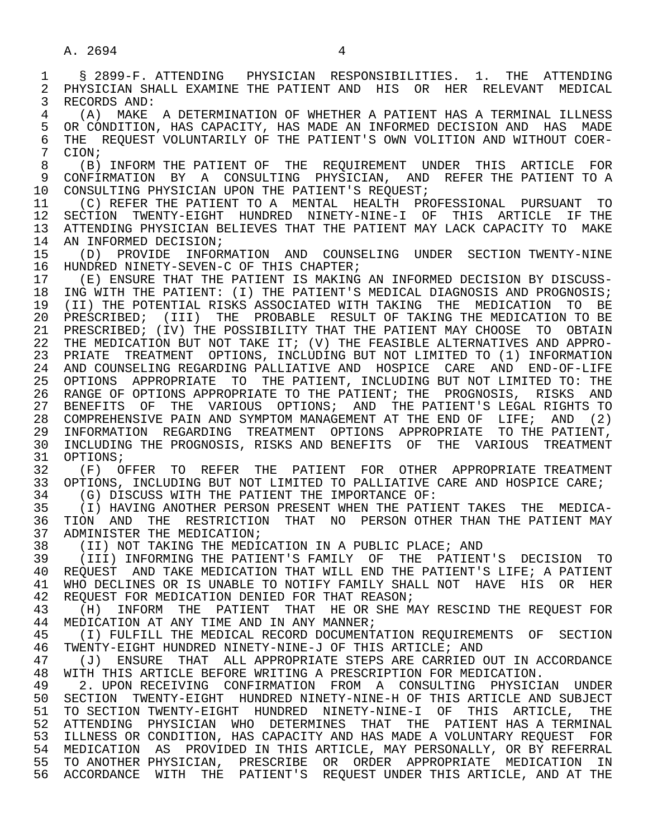1 § 2899-F. ATTENDING PHYSICIAN RESPONSIBILITIES. 1. THE ATTENDING 2 PHYSICIAN SHALL EXAMINE THE PATIENT AND HIS OR HER RELEVANT MEDICAL<br>3 RECORDS AND: 3 RECORDS AND: 4 (A) MAKE A DETERMINATION OF WHETHER A PATIENT HAS A TERMINAL ILLNESS 5 OR CONDITION, HAS CAPACITY, HAS MADE AN INFORMED DECISION AND HAS MADE<br>6 THE REOUEST VOLUNTARILY OF THE PATIENT'S OWN VOLITION AND WITHOUT COER-6 THE REQUEST VOLUNTARILY OF THE PATIENT'S OWN VOLITION AND WITHOUT COER-<br>7 CION;  $\begin{array}{cc} 7 & \text{CION }; \\ 8 & (B) \end{array}$  8 (B) INFORM THE PATIENT OF THE REQUIREMENT UNDER THIS ARTICLE FOR 9 CONFIRMATION BY A CONSULTING PHYSICIAN, AND REFER THE PATIENT TO A<br>10 CONSULTING PHYSICIAN UPON THE PATIENT'S REOUEST; 10 CONSULTING PHYSICIAN UPON THE PATIENT'S REQUEST;<br>11 (C) REFER THE PATIENT TO A MENTAL, HEALTH PRO 11 (C) REFER THE PATIENT TO A MENTAL HEALTH PROFESSIONAL PURSUANT TO<br>12 SECTION TWENTY-EIGHT HUNDRED NINETY-NINE-I OF THIS ARTICLE IF THE 12 SECTION TWENTY-EIGHT HUNDRED NINETY-NINE-I OF THIS ARTICLE IF THE 13 ATTENDING PHYSICIAN BELIEVES THAT THE PATIENT MAY LACK CAPACITY TO MAKE 14 AN INFORMED DECISION: 14 AN INFORMED DECISION;<br>15 (D) PROVIDE INFOR 15 (D) PROVIDE INFORMATION AND COUNSELING UNDER SECTION TWENTY-NINE<br>16 HUNDRED NINETY-SEVEN-C OF THIS CHAPTER; 16 HUNDRED NINETY-SEVEN-C OF THIS CHAPTER;<br>17 (E) ENSURE THAT THE PATIENT IS MAKING 17 (E) ENSURE THAT THE PATIENT IS MAKING AN INFORMED DECISION BY DISCUSS-<br>18 ING WITH THE PATIENT: (I) THE PATIENT'S MEDICAL DIAGNOSIS AND PROGNOSIS; 18 ING WITH THE PATIENT: (I) THE PATIENT'S MEDICAL DIAGNOSIS AND PROGNOSIS;<br>19 (II) THE POTENTIAL RISKS ASSOCIATED WITH TAKING THE MEDICATION TO BE 19 (II) THE POTENTIAL RISKS ASSOCIATED WITH TAKING THE MEDICATION TO BE 100 PRESCRIBED; (III) THE PROBABLE RESULT OF TAKING THE MEDICATION TO BE 20 PRESCRIBED; (III) THE PROBABLE RESULT OF TAKING THE MEDICATION TO BE<br>21 PRESCRIBED; (IV) THE POSSIBILITY THAT THE PATIENT MAY CHOOSE TO OBTAIN PRESCRIBED; (IV) THE POSSIBILITY THAT THE PATIENT MAY CHOOSE TO OBTAIN 22 THE MEDICATION BUT NOT TAKE IT; (V) THE FEASIBLE ALTERNATIVES AND APPRO- 23 PRIATE TREATMENT OPTIONS, INCLUDING BUT NOT LIMITED TO (1) INFORMATION 24 AND COUNSELING REGARDING PALLIATIVE AND HOSPICE CARE AND END-OF-LIFE<br>25 OPTIONS APPROPRIATE TO THE PATIENT, INCLUDING BUT NOT LIMITED TO: THE 25 OPTIONS APPROPRIATE TO THE PATIENT, INCLUDING BUT NOT LIMITED TO: THE 26 RANGE OF OPTIONS APPROPRIATE TO THE PATIENT; THE PROGNOSIS, RISKS AND 27 BENEFITS OF THE VARIOUS OPTIONS; AND THE PATIENT'S LEGAL RIGHTS TO 28 COMPREHENSIVE PAIN AND SYMPTOM MANAGEMENT AT THE END OF LIFE; AND (2) 29 INFORMATION REGARDING TREATMENT OPTIONS APPROPRIATE TO THE PATIENT, 30 INCLUDING THE PROGNOSIS, RISKS AND BENEFITS OF THE VARIOUS TREATMENT 31 OPTIONS;<br>32 (F) O 32 (F) OFFER TO REFER THE PATIENT FOR OTHER APPROPRIATE TREATMENT<br>33 OPTIONS, INCLUDING BUT NOT LIMITED TO PALLIATIVE CARE AND HOSPICE CARE; 33 OPTIONS, INCLUDING BUT NOT LIMITED TO PALLIATIVE CARE AND HOSPICE CARE;<br>34 (G) DISCUSS WITH THE PATIENT THE IMPORTANCE OF: 34 (G) DISCUSS WITH THE PATIENT THE IMPORTANCE OF:<br>35 (I) HAVING ANOTHER PERSON PRESENT WHEN THE PATI 35 (I) HAVING ANOTHER PERSON PRESENT WHEN THE PATIENT TAKES THE MEDICA-<br>36 TION AND THE RESTRICTION THAT NO PERSON OTHER THAN THE PATIENT MAY 36 TION AND THE RESTRICTION THAT NO PERSON-OTHER THAN THE PATIENT MAY 17 ADMINISTER THE MEDICATION; 37 ADMINISTER THE MEDICATION;<br>38 (II) NOT TAKING THE MEDIO 38 (II) NOT TAKING THE MEDICATION IN A PUBLIC PLACE; AND<br>39 (III) INFORMING THE PATIENT'S FAMILY OF THE PATIENT 39 (III) INFORMING THE PATIENT'S FAMILY OF THE PATIENT'S DECISION TO<br>40 REOUEST AND TAKE MEDICATION THAT WILL END THE PATIENT'S LIFE; A PATIENT 40 REQUEST AND TAKE MEDICATION THAT WILL END THE PATIENT'S LIFE; A PATIENT<br>41 WHO DECLINES OR IS UNABLE TO NOTIFY FAMILY SHALL NOT HAVE. HIS OR HER 41 WHO DECLINES OR IS UNABLE TO NOTIFY FAMILY SHALL NOT HAVE HIS OR HER<br>42 REQUEST FOR MEDICATION DENIED FOR THAT REASON; 42 REQUEST FOR MEDICATION DENIED FOR THAT REASON;<br>43 (H) INFORM THE PATIENT THAT HE OR SHE ME 43 (H) INFORM THE PATIENT THAT HE OR SHE MAY RESCIND THE REQUEST FOR<br>44 MEDICATION AT ANY TIME AND IN ANY MANNER; 44 MEDICATION AT ANY TIME AND IN ANY MANNER;<br>45 (I) FULFILL THE MEDICAL RECORD DOCUMENT 45 (I) FULFILL THE MEDICAL RECORD DOCUMENTATION REQUIREMENTS OF SECTION<br>46 TWENTY-EIGHT HUNDRED NINETY-NINE-J OF THIS ARTICLE; AND 46 TWENTY-EIGHT HUNDRED NINETY-NINE-J OF THIS ARTICLE; AND 47 (J) ENSURE THAT ALL APPROPRIATE STEPS ARE CARRIED OUT IN ACCORDANCE<br>48 WITH THIS ARTICLE BEFORE WRITING A PRESCRIPTION FOR MEDICATION. 48 WITH THIS ARTICLE BEFORE WRITING A PRESCRIPTION FOR MEDICATION.<br>49 2. UPON RECEIVING CONFIRMATION FROM A CONSULTING PHYSICI 49 2. UPON RECEIVING CONFIRMATION FROM A CONSULTING PHYSICIAN UNDER<br>50 SECTION TWENTY-EIGHT HUNDRED NINETY-NINE-H OF THIS ARTICLE AND SUBJECT 50 SECTION TWENTY-EIGHT HUNDRED NINETY-NINE-HOF THIS ARTICLE AND SUBJECT<br>51 TO SECTION TWENTY-EIGHT HUNDRED NINETY-NINE-I OF THIS ARTICLE, THE 51 TO SECTION TWENTY-EIGHT HUNDRED NINETY-NINE-I OF THIS ARTICLE, THE 52 ATTENDING PHYSICIAN WHO DETERMINES THAT THE PATIENT—HAS A TERMINAL<br>53 ILLNESS OR CONDITION, HAS CAPACITY AND HAS MADE A VOLUNTARY REOUEST FOR 53 ILLNESS OR CONDITION, HAS CAPACITY AND HAS MADE A VOLUNTARY REQUEST FOR 54 MEDICATION AS PROVIDED IN THIS ARTICLE, MAY PERSONALLY, OR BY REFERRAL 55 TO ANOTHER PHYSICIAN, PRESCRIBE OR ORDER APPROPRIATE MEDICATION IN 56 ACCORDANCE WITH THE PATIENT'S REQUEST UNDER THIS ARTICLE, AND AT THE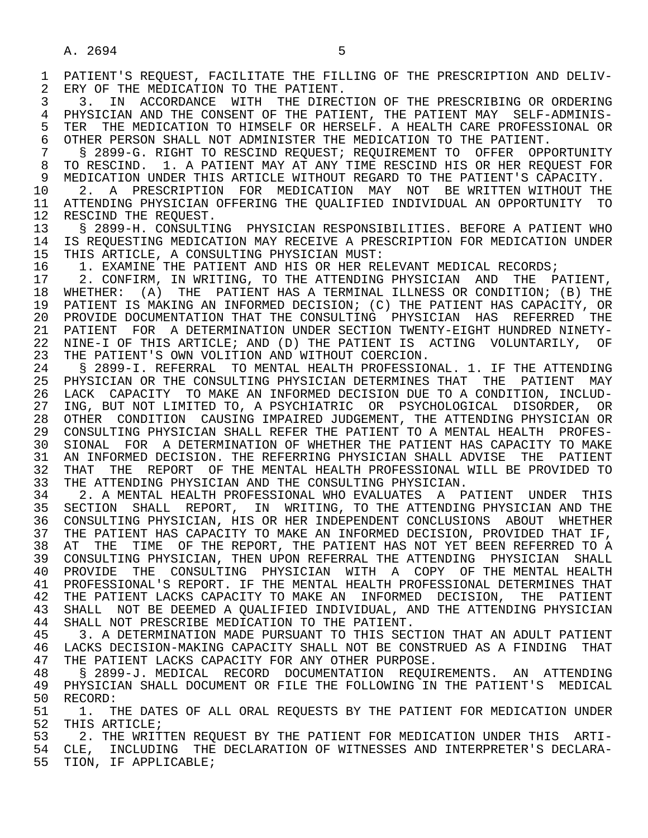1 PATIENT'S REQUEST, FACILITATE THE FILLING OF THE PRESCRIPTION AND DELIV-<br>2 ERY OF THE MEDICATION TO THE PATIENT. 2 ERY OF THE MEDICATION TO THE PATIENT.<br>3 3. IN ACCORDANCE WITH THE DIRECT 3 3. IN ACCORDANCE WITH THE DIRECTION OF THE PRESCRIBING OR ORDERING 4 PHYSICIAN AND THE CONSENT OF THE PATIENT, THE PATIENT MAY SELF-ADMINIS-<br>5 TER THE MEDICATION TO HIMSELF OR HERSELF. A HEALTH CARE PROFESSIONAL OR 5 TER THE MEDICATION TO HIMSELF OR HERSELF. A HEALTH CARE PROFESSIONAL OR<br>6 OTHER PERSON SHALL NOT ADMINISTER THE MEDICATION TO THE PATIENT. 6 OTHER PERSON SHALL NOT ADMINISTER THE MEDICATION TO THE PATIENT.<br>7 S 2899-G. RIGHT TO RESCIND REOUEST; REOUIREMENT TO OFFER OPP 7 § 2899-G. RIGHT TO RESCIND REQUEST; REQUIREMENT TO OFFER OPPORTUNITY<br>8 TO RESCIND. 1. A PATIENT MAY AT ANY TIME RESCIND HIS OR HER REQUEST FOR 8 TO RESCIND. 1. A PATIENT MAY AT ANY TIME RESCIND HIS OR HER REQUEST FOR<br>9 MEDICATION UNDER THIS ARTICLE WITHOUT REGARD TO THE PATIENT'S CAPACITY. 9 MEDICATION UNDER THIS ARTICLE WITHOUT REGARD TO THE PATIENT'S CAPACITY.<br>10 2. A PRESCRIPTION FOR MEDICATION MAY NOT BE WRITTEN WITHOUT TH 10 2. A PRESCRIPTION FOR MEDICATION MAY NOT BE WRITTEN WITHOUT THE 11 ATTENDING PHYSICIAN OFFERING THE OUALIFIED INDIVIDUAL AN OPPORTUNITY TO 11 ATTENDING PHYSICIAN OFFERING THE QUALIFIED INDIVIDUAL AN OPPORTUNITY TO 12 RESCIND THE REOUEST. 12 RESCIND THE REQUEST.<br>13 S 2899-H. CONSULTII 13 § 2899-H. CONSULTING PHYSICIAN RESPONSIBILITIES. BEFORE A PATIENT WHO 14 IS REQUESTING MEDICATION MAY RECEIVE A PRESCRIPTION FOR MEDICATION UNDER 15 THIS ARTICLE, A CONSULTING PHYSICIAN MUST:<br>16 1. EXAMINE THE PATIENT AND HIS OR HER RE 16 1. EXAMINE THE PATIENT AND HIS OR HER RELEVANT MEDICAL RECORDS;<br>17 2. CONFIRM, IN WRITING, TO THE ATTENDING PHYSICIAN AND THE P 17 2. CONFIRM, IN WRITING, TO THE ATTENDING PHYSICIAN AND THE PATIENT,<br>18 WHETHER: (A) THE PATIENT HAS A TERMINAL ILLNESS OR CONDITION; (B) THE 18 WHETHER: (A) THE PATIENT HAS A TERMINAL ILLNESS OR CONDITION; (B) THE 19 PATIENT IS MAKING AN INFORMED DECISION; (C) THE PATIENT HAS CAPACITY, OR 19 PATIENT IS MAKING AN INFORMED DECISION; (C) THE PATIENT HAS CAPACITY, OR<br>20 PROVIDE DOCUMENTATION THAT THE CONSULTING PHYSICIAN HAS REFERRED THE

20 PROVIDE DOCUMENTATION THAT THE CONSULTING PHYSICIAN HAS REFERRED THE<br>21 PATIENT FOR A DETERMINATION UNDER SECTION TWENTY-EIGHT HUNDRED NINETY-21 PATIENT FOR A DETERMINATION UNDER SECTION TWENTY-EIGHT HUNDRED NINETY-<br>22 NINE-I OF THIS ARTICLE; AND (D) THE PATIENT IS ACTING VOLUNTARILY, OF 22 NINE-I OF THIS ARTICLE; AND (D) THE PATIENT IS ACTING VOLUNTARILY, OF<br>23 THE PATIENT'S OWN VOLITION AND WITHOUT COERCION. THE PATIENT'S OWN VOLITION AND WITHOUT COERCION.

 24 § 2899-I. REFERRAL TO MENTAL HEALTH PROFESSIONAL. 1. IF THE ATTENDING PHYSICIAN OR THE CONSULTING PHYSICIAN DETERMINES THAT THE PATIENT MAY 26 LACK CAPACITY TO MAKE AN INFORMED DECISION DUE TO A CONDITION, INCLUD- 27 ING, BUT NOT LIMITED TO, A PSYCHIATRIC OR PSYCHOLOGICAL DISORDER, OR<br>28 OTHER CONDITION CAUSING IMPAIRED JUDGEMENT, THE ATTENDING PHYSICIAN OR 28 OTHER CONDITION CAUSING IMPAIRED JUDGEMENT, THE ATTENDING PHYSICIAN OR<br>29 CONSULTING PHYSICIAN SHALL REFER THE PATIENT TO A MENTAL HEALTH PROFES- 29 CONSULTING PHYSICIAN SHALL REFER THE PATIENT TO A MENTAL HEALTH PROFES- 30 SIONAL FOR A DETERMINATION OF WHETHER THE PATIENT HAS CAPACITY TO MAKE<br>31 AN INFORMED DECISION, THE REFERRING PHYSICIAN SHALL ADVISE THE PATIENT 31 AN INFORMED DECISION. THE REFERRING PHYSICIAN SHALL ADVISE THE PATIENT<br>32 THAT THE REPORT OF THE MENTAL HEALTH PROFESSIONAL WILL BE PROVIDED TO 32 THAT THE REPORT OF THE MENTAL HEALTH PROFESSIONAL WILL BE PROVIDED TO 33 THE ATTENDING PHYSICIAN AND THE CONSULTING PHYSICIAN. 33 THE ATTENDING PHYSICIAN AND THE CONSULTING PHYSICIAN.<br>34 3. A MENTAL HEALTH PROFESSIONAL WHO EVALUATES A P

34 2. A MENTAL HEALTH PROFESSIONAL WHO EVALUATES A PATIENT UNDER THIS<br>35 SECTION SHALL REPORT, IN WRITING, TO THE ATTENDING PHYSICIAN AND THE 35 SECTION SHALL REPORT, IN WRITING, TO THE ATTENDING PHYSICIAN AND THE 36 CONSULTING PHYSICIAN. HIS OR HER INDEPENDENT CONCLUSIONS ABOUT WHETHER 36 CONSULTING PHYSICIAN, HIS OR HER INDEPENDENT CONCLUSIONS ABOUT WHETHER 37 THE PATIENT HAS CAPACITY TO MAKE AN INFORMED DECISION, PROVIDED THAT IF,<br>38 AT THE TIME OF THE REPORT, THE PATIENT HAS NOT YET BEEN REFERRED TO A 38 AT THE TIME OF THE REPORT, THE PATIENT HAS NOT YET BEEN REFERRED TO A<br>39 CONSULTING PHYSICIAN, THEN UPON REFERRAL THE ATTENDING PHYSICIAN SHALL 39 CONSULTING PHYSICIAN, THEN UPON REFERRAL THE ATTENDING PHYSICIAN SHALL<br>40 PROVIDE THE CONSULTING PHYSICIAN WITH A COPY OF THE MENTAL HEALTH 40 PROVIDE THE CONSULTING PHYSICIAN WITH A COPY OF THE-MENTAL-HEALTH 41 PROFESSIONAL'S REPORT. IF THE MENTAL HEALTH PROFESSIONAL DETERMINES THAT 41 PROFESSIONAL'S REPORT. IF THE MENTAL HEALTH PROFESSIONAL DETERMINES THAT<br>42 THE PATIENT LACKS CAPACITY TO MAKE AN INFORMED DECISION, THE PATIENT 42 THE PATIENT LACKS CAPACITY TO MAKE AN INFORMED DECISION, THE PATIENT<br>43 SHALL NOT BE DEEMED A QUALIFIED INDIVIDUAL, AND THE ATTENDING PHYSICIAN 43 SHALL NOT BE DEEMED A QUALIFIED INDIVIDUAL, AND THE ATTENDING PHYSICIAN<br>44 SHALL NOT PRESCRIBE MEDICATION TO THE PATIENT. 44 SHALL NOT PRESCRIBE MEDICATION TO THE PATIENT.<br>45 3. A DETERMINATION MADE PURSUANT TO THIS SECT

 45 3. A DETERMINATION MADE PURSUANT TO THIS SECTION THAT AN ADULT PATIENT 46 LACKS DECISION-MAKING CAPACITY SHALL NOT BE CONSTRUED AS A FINDING THAT<br>47 THE PATIENT LACKS CAPACITY FOR ANY OTHER PURPOSE. 47 THE PATIENT LACKS CAPACITY FOR ANY OTHER PURPOSE.

 48 § 2899-J. MEDICAL RECORD DOCUMENTATION REQUIREMENTS. AN ATTENDING 49 PHYSICIAN SHALL DOCUMENT OR FILE THE FOLLOWING IN THE PATIENT'S MEDICAL<br>50 RECORD: 50 RECORD:<br>51 1. T

51 1. THE DATES OF ALL ORAL REQUESTS BY THE PATIENT FOR MEDICATION UNDER<br>52 THIS ARTICLE; 52 THIS ARTICLE;<br>53 2. THE WRIT

53 53 2. THE WRITTEN REQUEST BY THE PATIENT FOR MEDICATION UNDER THIS ARTI-<br>54 CLE, INCLUDING THE DECLARATION OF WITNESSES AND INTERPRETER'S DECLARA-54 CLE, INCLUDING THE DECLARATION OF WITNESSES AND INTERPRETER'S DECLARA-<br>55 TION, IF APPLICABLE; TION, IF APPLICABLE;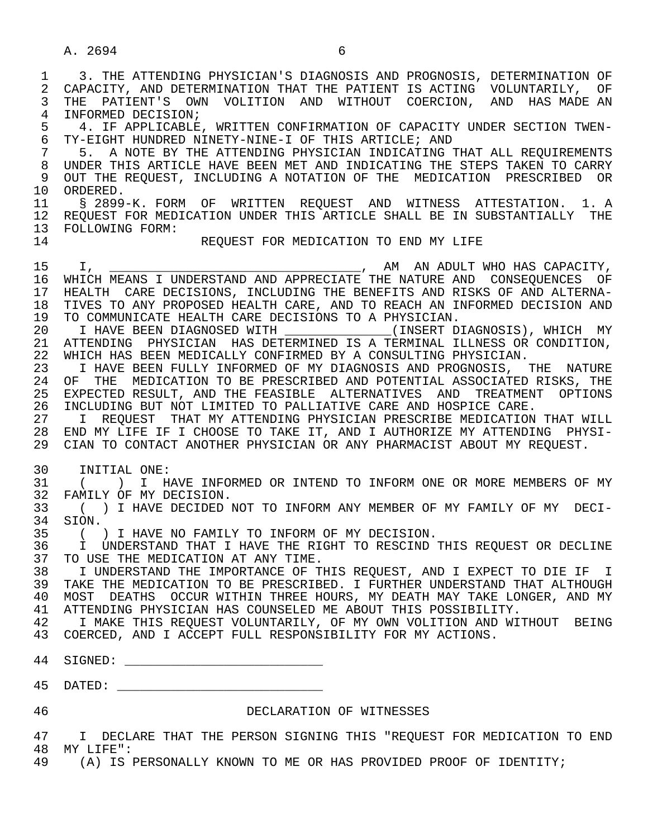1 3. THE ATTENDING PHYSICIAN'S DIAGNOSIS AND PROGNOSIS, DETERMINATION OF 2 CAPACITY, AND DETERMINATION THAT THE PATIENT IS ACTING VOLUNTARILY, OF 2 CAPACITY, AND DETERMINATION THAT THE PATIENT IS ACTING VOLUNTARILY, OF<br>3 THE PATIENT'S OWN VOLITION AND WITHOUT COERCION, AND HAS MADE AN THE PATIENT'S OWN VOLITION AND WITHOUT COERCION, AND HAS MADE AN 4 INFORMED DECISION;<br>5 4. IF APPLICABLE 5 4. IF APPLICABLE, WRITTEN CONFIRMATION OF CAPACITY UNDER SECTION TWEN-<br>6 TY-EIGHT HUNDRED NINETY-NINE-I OF THIS ARTICLE; AND 6 TY-EIGHT HUNDRED NINETY-NINE-I OF THIS ARTICLE; AND 7 5. A NOTE BY THE ATTENDING PHYSICIAN INDICATING THAT ALL REQUIREMENTS 8 UNDER THIS ARTICLE HAVE BEEN MET AND INDICATING THE STEPS TAKEN TO CARRY 9 OUT THE REQUEST, INCLUDING A NOTATION OF THE MEDICATION PRESCRIBED OR 10 ORDERED.<br>11 \$ 2899 § 2899-K. FORM OF WRITTEN REOUEST AND WITNESS ATTESTATION. 1. A 12 REQUEST FOR MEDICATION UNDER THIS ARTICLE SHALL BE IN SUBSTANTIALLY THE 13 FOLLOWING FORM:<br>14 REQUEST FOR MEDICATION TO END MY LIFE 15 I, <u>INCREAS I UNDERSTAND AND APPRECIATE</u>, AM AN ADULT WHO HAS CAPACITY,<br>16 WHICH MEANS I UNDERSTAND AND APPRECIATE THE NATURE AND CONSEOUENCES OF WHICH MEANS I UNDERSTAND AND APPRECIATE THE NATURE AND CONSEQUENCES OF 17 HEALTH CARE DECISIONS, INCLUDING THE BENEFITS AND RISKS OF AND ALTERNA- 18 TIVES TO ANY PROPOSED HEALTH CARE, AND TO REACH AN INFORMED DECISION AND<br>19 TO COMMUNICATE HEALTH CARE DECISIONS TO A PHYSICIAN. 19 TO COMMUNICATE HEALTH CARE DECISIONS TO A PHYSICIAN.<br>20 1 HAVE BEEN DIAGNOSED WITH (INSERT D I HAVE BEEN DIAGNOSED WITH \_\_\_\_\_\_\_\_\_\_\_\_\_\_(INSERT DIAGNOSIS), WHICH MY 21 ATTENDING PHYSICIAN HAS DETERMINED IS A TERMINAL ILLNESS OR CONDITION, 22 WHICH HAS BEEN MEDICALLY CONFIRMED BY A CONSULTING PHYSICIAN. 23 I HAVE BEEN FULLY INFORMED OF MY DIAGNOSIS AND PROGNOSIS, THE NATURE 24 OF THE MEDICATION TO BE PRESCRIBED AND POTENTIAL ASSOCIATED RISKS, THE 25 EXPECTED RESULT, AND THE FEASIBLE ALTERNATIVES AND TREATMENT OPTIONS<br>26 INCLUDING BUT NOT LIMITED TO PALLIATIVE CARE AND HOSPICE CARE. 26 INCLUDING BUT NOT LIMITED TO PALLIATIVE CARE AND HOSPICE CARE.<br>27 TT REQUEST THAT MY ATTENDING PHYSICIAN PRESCRIBE MEDICATION 27 I REQUEST THAT MY ATTENDING PHYSICIAN PRESCRIBE MEDICATION THAT WILL 28 END MY LIFE IF I CHOOSE TO TAKE IT, AND I AUTHORIZE MY ATTENDING PHYSI- 29 CIAN TO CONTACT ANOTHER PHYSICIAN OR ANY PHARMACIST ABOUT MY REQUEST. 30 INITIAL ONE:<br>31 ( ) I H. 31 ( ) I HAVE INFORMED OR INTEND TO INFORM ONE OR MORE MEMBERS OF MY 32 FAMILY OF MY DECISION. 32 FAMILY OF MY DECISION.<br>33 () I HAVE DECIDED 33 ( ) I HAVE DECIDED NOT TO INFORM ANY MEMBER OF MY FAMILY OF MY DECI- 34 SION.<br>35 ( 35 () I HAVE NO FAMILY TO INFORM OF MY DECISION.<br>36 I UNDERSTAND THAT I HAVE THE RIGHT TO RESCIND ! 36 I UNDERSTAND THAT I HAVE THE RIGHT TO RESCIND THIS REQUEST OR DECLINE 37 TO USE THE MEDICATION AT ANY TIME. 37 TO USE THE MEDICATION AT ANY TIME.<br>38 I UNDERSTAND THE IMPORTANCE OF T 38 I UNDERSTAND THE IMPORTANCE OF THIS REQUEST, AND I EXPECT TO DIE IF I<br>39 TAKE THE MEDICATION TO BE PRESCRIBED. I FURTHER UNDERSTAND THAT ALTHOUGH TAKE THE MEDICATION TO BE PRESCRIBED. I FURTHER UNDERSTAND THAT ALTHOUGH 40 MOST DEATHS OCCUR WITHIN THREE HOURS, MY DEATH MAY TAKE LONGER, AND MY<br>41 ATTENDING PHYSICIAN HAS COUNSELED ME ABOUT THIS POSSIBILITY. 41 ATTENDING PHYSICIAN HAS COUNSELED ME ABOUT THIS POSSIBILITY.<br>42 TI MAKE THIS REOUEST VOLUNTARILY, OF MY OWN VOLITION AND WI I MAKE THIS REOUEST VOLUNTARILY, OF MY OWN VOLITION AND WITHOUT BEING 43 COERCED, AND I ACCEPT FULL RESPONSIBILITY FOR MY ACTIONS. 44 SIGNED: \_\_\_\_\_\_\_\_\_\_\_\_\_\_\_\_\_\_\_\_\_\_\_\_\_\_ 45 DATED: \_\_\_\_\_\_\_\_\_\_\_\_\_\_\_\_\_\_\_\_\_\_\_\_\_\_\_ 46 DECLARATION OF WITNESSES 47 I DECLARE THAT THE PERSON SIGNING THIS "REQUEST FOR MEDICATION TO END

 48 MY LIFE": 49 (A) IS PERSONALLY KNOWN TO ME OR HAS PROVIDED PROOF OF IDENTITY;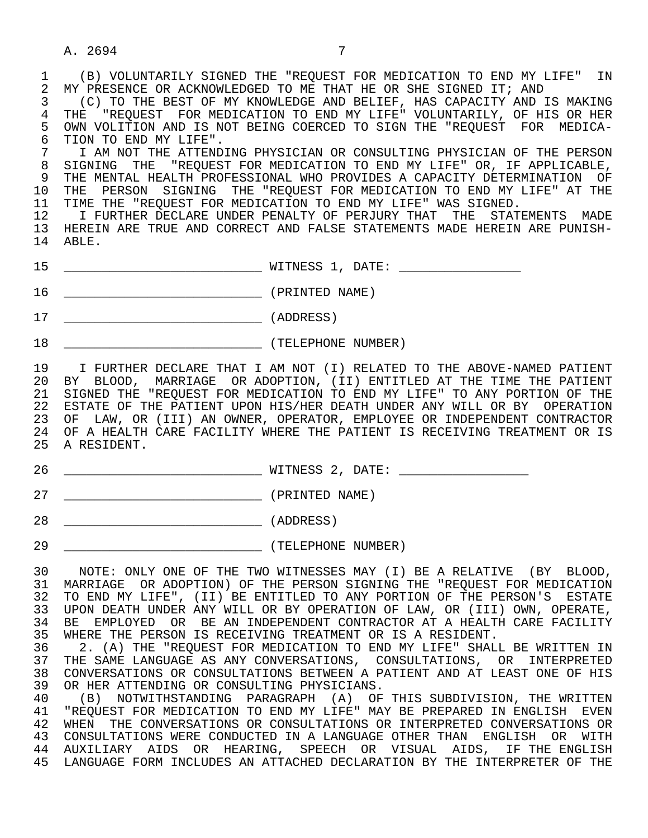1 (B) VOLUNTARILY SIGNED THE "REQUEST FOR MEDICATION TO END MY LIFE" IN<br>2 MY PRESENCE OR ACKNOWLEDGED TO ME THAT HE OR SHE SIGNED IT; AND 2 MY PRESENCE OR ACKNOWLEDGED TO ME THAT HE OR SHE SIGNED IT; AND<br>3 (C) TO THE BEST OF MY KNOWLEDGE AND BELIEF, HAS CAPACITY AND IS

3 (C) TO THE BEST OF MY KNOWLEDGE AND BELIEF, HAS CAPACITY AND IS MAKING<br>4 THE "REQUEST FOR MEDICATION TO END MY LIFE" VOLUNTARILY. OF HIS OR HER 4 THE "REQUEST FOR MEDICATION TO END MY LIFE" VOLUNTARILY, OF HIS OR HER<br>5 OWN VOLITION AND IS NOT BEING COERCED TO SIGN THE "REOUEST FOR MEDICA-5 OWN VOLITION AND IS NOT BEING COERCED TO SIGN THE "REQUEST FOR MEDICA-<br>6 TION TO END MY LIFE". 6 TION TO END MY LIFE".<br>7 I AM NOT THE ATTEND

7 I AM NOT THE ATTENDING PHYSICIAN OR CONSULTING PHYSICIAN OF THE PERSON<br>8 SIGNING THE "REOUEST FOR MEDICATION TO END MY LIFE" OR. IF APPLICABLE. 8 SIGNING THE "REQUEST FOR MEDICATION TO END MY LIFE" OR, IF APPLICABLE,<br>9 THE MENTAL HEALTH PROFESSIONAL WHO PROVIDES A CAPACITY DETERMINATION OF 9 THE MENTAL HEALTH PROFESSIONAL WHO PROVIDES A CAPACITY DETERMINATION OF<br>10 THE PERSON SIGNING THE "REOUEST FOR MEDICATION TO END MY LIFE" AT THE THE PERSON SIGNING THE "REQUEST FOR MEDICATION TO END MY LIFE" AT THE

11 TIME THE "REQUEST FOR MEDICATION TO END MY LIFE" WAS SIGNED.<br>12 T FURTHER DECLARE UNDER PENALTY OF PERJURY THAT THE STAT

 12 I FURTHER DECLARE UNDER PENALTY OF PERJURY THAT THE STATEMENTS MADE 13 HEREIN ARE TRUE AND CORRECT AND FALSE STATEMENTS MADE HEREIN ARE PUNISH- 14 ABLE.

- 15 \_\_\_\_\_\_\_\_\_\_\_\_\_\_\_\_\_\_\_\_\_\_\_\_\_\_ WITNESS 1, DATE: \_\_\_\_\_\_\_\_\_\_\_\_\_\_\_\_
- 16 \_\_\_\_\_\_\_\_\_\_\_\_\_\_\_\_\_\_\_\_\_\_\_\_\_\_ (PRINTED NAME)
- 17 \_\_\_\_\_\_\_\_\_\_\_\_\_\_\_\_\_\_\_\_\_\_\_\_\_\_ (ADDRESS)
- 18  $(TELEPHONE NUMBER)$

 19 I FURTHER DECLARE THAT I AM NOT (I) RELATED TO THE ABOVE-NAMED PATIENT 20 BY BLOOD, MARRIAGE OR ADOPTION, (II) ENTITLED AT THE TIME THE PATIENT 21 SIGNED THE "REQUEST FOR MEDICATION TO END MY LIFE" TO ANY PORTION OF THE 22 ESTATE OF THE PATIENT UPON HIS/HER DEATH UNDER ANY WILL OR BY OPERATION 23 OF LAW, OR (III) AN OWNER, OPERATOR, EMPLOYEE OR INDEPENDENT CONTRACTOR 24 OF A HEALTH CARE FACILITY WHERE THE PATIENT IS RECEIVING TREATMENT OR IS 25 A RESIDENT.

- 26 \_\_\_\_\_\_\_\_\_\_\_\_\_\_\_\_\_\_\_\_\_\_\_\_\_\_ WITNESS 2, DATE: \_\_\_\_\_\_\_\_\_\_\_\_\_\_\_\_\_
- 27 \_\_\_\_\_\_\_\_\_\_\_\_\_\_\_\_\_\_\_\_\_\_\_\_\_\_ (PRINTED NAME)
- 28 [ADDRESS]
- 29 \_\_\_\_\_\_\_\_\_\_\_\_\_\_\_\_\_\_\_\_\_\_\_\_\_\_ (TELEPHONE NUMBER)

 30 NOTE: ONLY ONE OF THE TWO WITNESSES MAY (I) BE A RELATIVE (BY BLOOD, 31 MARRIAGE OR ADOPTION) OF THE PERSON SIGNING THE "REQUEST FOR MEDICATION<br>32 TO END MY LIFE", (II) BE ENTITLED TO ANY PORTION OF THE PERSON'S ESTATE 32 TO END MY LIFE", (II) BE ENTITLED TO ANY PORTION OF THE PERSON'S ESTATE<br>33 UPON DEATH UNDER ANY WILL OR BY OPERATION OF LAW, OR (III) OWN, OPERATE, 33 UPON DEATH UNDER ANY WILL OR BY OPERATION OF LAW, OR (III) OWN, OPERATE, 34 BE EMPLOYED OR BE AN INDEPENDENT CONTRACTOR AT A HEALTH CARE FACILITY 34 BE EMPLOYED OR BE AN INDEPENDENT CONTRACTOR AT A HEALTH CARE FACILITY<br>35 WHERE THE PERSON IS RECEIVING TREATMENT OR IS A RESIDENT. 35 WHERE THE PERSON IS RECEIVING TREATMENT OR IS A RESIDENT.<br>36 2. (A) THE "REOUEST FOR MEDICATION TO END MY LIFE" SHALI

36 2. (A) THE "REQUEST FOR MEDICATION TO END MY LIFE" SHALL BE WRITTEN IN<br>37 THE SAME LANGUAGE AS ANY CONVERSATIONS. CONSULTATIONS. OR INTERPRETED THE SAME LANGUAGE AS ANY CONVERSATIONS, CONSULTATIONS, OR INTERPRETED 38 CONVERSATIONS OR CONSULTATIONS BETWEEN A PATIENT AND AT LEAST ONE OF HIS<br>39 OR HER ATTENDING OR CONSULTING PHYSICIANS. 39 OR HER ATTENDING OR CONSULTING PHYSICIANS.<br>40 (B) NOTWITHSTANDING PARAGRAPH (A) OF

40 (B) NOTWITHSTANDING PARAGRAPH (A) OF THIS SUBDIVISION, THE WRITTEN<br>41 "REOUEST FOR MEDICATION TO END MY LIFE" MAY BE PREPARED IN ENGLISH EVEN 41 "REQUEST FOR MEDICATION TO END MY LIFE" MAY BE PREPARED IN ENGLISH EVEN 42 WHEN THE CONVERSATIONS OR CONSULTATIONS OR INTERPRETED CONVERSATIONS OR 43 CONSULTATIONS WERE CONDUCTED IN A LANGUAGE OTHER THAN ENGLISH OR WITH 44 AUXILIARY AIDS OR HEARING, SPEECH OR VISUAL AIDS, IF THE ENGLISH 45 LANGUAGE FORM INCLUDES AN ATTACHED DECLARATION BY THE INTERPRETER OF THE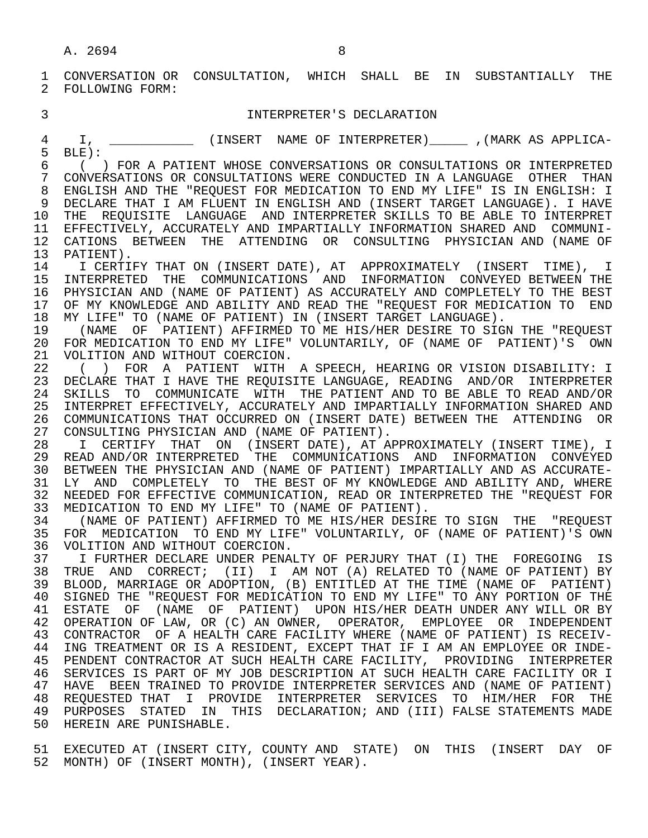1 CONVERSATION OR CONSULTATION, WHICH SHALL BE IN SUBSTANTIALLY THE 2 FOLLOWING FORM: 2 FOLLOWING FORM:

## 3 INTERPRETER'S DECLARATION

1, \_\_\_\_\_\_\_\_\_\_\_\_\_ (INSERT NAME OF INTERPRETER)\_\_\_\_\_\_\_ , (MARK AS APPLICA-<br>5 BLE):  $\begin{bmatrix} 5 & BLE \end{bmatrix}$ :

 6 ( ) FOR A PATIENT WHOSE CONVERSATIONS OR CONSULTATIONS OR INTERPRETED 7 CONVERSATIONS OR CONSULTATIONS WERE CONDUCTED IN A LANGUAGE OTHER THAN<br>8 ENGLISH AND THE "REQUEST FOR MEDICATION TO END MY LIFE" IS IN ENGLISH: I 8 ENGLISH AND THE "REQUEST FOR MEDICATION TO END MY LIFE" IS IN ENGLISH: I<br>9 DECLARE THAT I AM FLUENT IN ENGLISH AND (INSERT TARGET LANGUAGE). I HAVE 9 DECLARE THAT I AM FLUENT IN ENGLISH AND (INSERT TARGET LANGUAGE). I HAVE 10 THE REQUISITE LANGUAGE AND INTERPRETER SKILLS TO BE ABLE TO INTERPRET 11 EFFECTIVELY, ACCURATELY AND IMPARTIALLY INFORMATION SHARED AND COMMUNI- 12 CATIONS BETWEEN THE ATTENDING OR CONSULTING PHYSICIAN<sup>AND</sup> (NAME OF 13 PATIENT).

13 PATIENT).<br>14 I CERTII 14 I CERTIFY THAT ON (INSERT DATE), AT APPROXIMATELY (INSERT TIME), I<br>15 INTERPRETED THE COMMUNICATIONS AND INFORMATION CONVEYED BETWEEN THE 15 INTERPRETED THE COMMUNICATIONS AND INFORMATION CONVEYED— BETWEEN THE 16 PHYSICIAN AND (NAME OF PATIENT) AS ACCURATELY AND COMPLETELY TO THE BEST 16 PHYSICIAN AND (NAME OF PATIENT) AS ACCURATELY AND COMPLETELY TO THE BEST<br>17 OF MY KNOWLEDGE AND ABILITY AND READ THE "REOUEST FOR MEDICATION TO END 17 OF MY KNOWLEDGE AND ABILITY AND READ THE "REQUEST FOR MEDICATION TO END 18 MY LIFE" TO (NAME OF PATIENT) IN (INSERT TARGET LANGUAGE).<br>19 (NAME OF PATIENT) AFFIRMED TO ME HIS/HER DESIRE TO SIG

19 (NAME OF PATIENT) AFFIRMED TO ME HIS/HER DESIRE TO SIGN THE "REQUEST<br>20 FOR MEDICATION TO END MY LIFE" VOLUNTARILY, OF (NAME OF PATIENT)'S OWN 20 FOR MEDICATION TO END MY LIFE" VOLUNTARILY, OF (NAME OF PATIENT)'S OWN 21 VOLITION AND WITHOUT COERCION. 21 VOLITION AND WITHOUT COERCION.<br>22 ( ) FOR A PATIENT WITH

22 ( ) FOR A PATIENT WITH A SPEECH, HEARING OR VISION DISABILITY: I<br>23 DECLARE THAT I HAVE THE REOUISITE LANGUAGE, READING AND/OR INTERPRETER 23 DECLARE THAT I HAVE THE REQUISITE LANGUAGE, READING AND/OR INTERPRETER 24 SKILLS TO COMMUNICATE WITH THE PATIENT AND TO BE ABLE TO READ AND/OR<br>25 INTERPRET EFFECTIVELY, ACCURATELY AND IMPARTIALLY INFORMATION SHARED AND 25 INTERPRET EFFECTIVELY, ACCURATELY AND IMPARTIALLY INFORMATION SHARED AND 26 COMMUNICATIONS THAT OCCURRED ON (INSERT DATE) BETWEEN THE ATTENDING OR<br>27 CONSULTING PHYSICIAN AND (NAME OF PATIENT). 27 CONSULTING PHYSICIAN AND (NAME OF PATIENT).<br>28 I CERTIFY THAT ON (INSERT DATE), AT A

 28 I CERTIFY THAT ON (INSERT DATE), AT APPROXIMATELY (INSERT TIME), I 29 READ AND/OR INTERPRETED THE COMMUNICATIONS AND INFORMATION CONVEYED<br>30 BETWEEN THE PHYSICIAN AND (NAME OF PATIENT) IMPARTIALLY AND AS ACCURATE-30 BETWEEN THE PHYSICIAN AND (NAME OF PATIENT) IMPARTIALLY AND AS ACCURATE-<br>31 LY AND COMPLETELY TO THE BEST OF MY KNOWLEDGE AND ABILITY AND, WHERE 31 LY AND COMPLETELY TO THE BEST OF MY KNOWLEDGE AND ABILITY AND, WHERE 32 NEEDED FOR EFFECTIVE COMMUNICATION, READ OR INTERPRETED THE "REOUEST FOR 32 NEEDED FOR EFFECTIVE COMMUNICATION, READ OR INTERPRETED THE "REQUEST FOR<br>33 MEDICATION TO END MY LIFE" TO (NAME OF PATIENT). 33 MEDICATION TO END MY LIFE" TO (NAME OF PATIENT).<br>34 (NAME OF PATIENT) AFFIRMED TO ME HIS/HER DESIRE

34 (NAME OF PATIENT) AFFIRMED TO ME HIS/HER DESIRE TO SIGN THE "REQUEST<br>35 FOR MEDICATION TO END MY LIFE" VOLUNTARILY, OF (NAME OF PATIENT)'S OWN 35 FOR MEDICATION TO END MY LIFE" VOLUNTARILY, OF (NAME OF PATIENT)'S OWN 36 VOLITION AND WITHOUT COERCION. 36 VOLITION AND WITHOUT COERCION.<br>37 T FURTHER DECLARE UNDER PENA

37 I FURTHER DECLARE UNDER PENALTY OF PERJURY THAT (I) THE FOREGOING IS<br>38 TRUE AND CORRECT; (II) I AM NOT (A) RELATED TO (NAME OF PATIENT) BY 38 TRUE AND CORRECT; (II) I AM NOT (A) RELATED TO (NAME OF PATIENT) BY<br>39 BLOOD, MARRIAGE OR ADOPTION, (B) ENTITLED AT THE TIME (NAME OF PATIENT) 39 BLOOD, MARRIAGE OR ADOPTION, (B) ENTITLED AT THE TIME (NAME OF PATIENT)<br>40 SIGNED THE "REOUEST FOR MEDICATION TO END MY LIFE" TO ANY PORTION OF THE 40 SIGNED THE "REQUEST FOR MEDICATION TO END MY LIFE" TO ANY PORTION OF THE 41 ESTATE OF (NAME OF PATIENT) UPON HIS/HER DEATH UNDER ANY WILL OR BY 41 ESTATE OF (NAME OF PATIENT) UPON HIS/HER DEATH UNDER ANY WILL OR BY 42 OPERATION OF LAW, OR (C) AN OWNER, OPERATOR, EMPLOYEE OR INDEPENDENT 43 CONTRACTOR OF A HEALTH CARE FACILITY WHERE (NAME OF PATIENT) IS RECEIV- 44 ING TREATMENT OR IS A RESIDENT, EXCEPT THAT IF I AM AN EMPLOYEE OR INDE- PENDENT CONTRACTOR AT SUCH HEALTH CARE FACILITY, PROVIDING INTERPRETER 46 SERVICES IS PART OF MY JOB DESCRIPTION AT SUCH HEALTH CARE FACILITY OR I 47 HAVE BEEN TRAINED TO PROVIDE INTERPRETER SERVICES AND (NAME OF PATIENT) 48 REQUESTED THAT I PROVIDE INTERPRETER SERVICES TO HIM/HER FOR THE 49 PURPOSES STATED IN THIS DECLARATION; AND (III) FALSE STATEMENTS MADE 49 PURPOSES STATED IN THIS DECLARATION; AND (III) FALSE STATEMENTS MADE 50 HEREIN ARE PUNISHABLE.

 51 EXECUTED AT (INSERT CITY, COUNTY AND STATE) ON THIS (INSERT DAY OF 52 MONTH) OF (INSERT MONTH), (INSERT YEAR).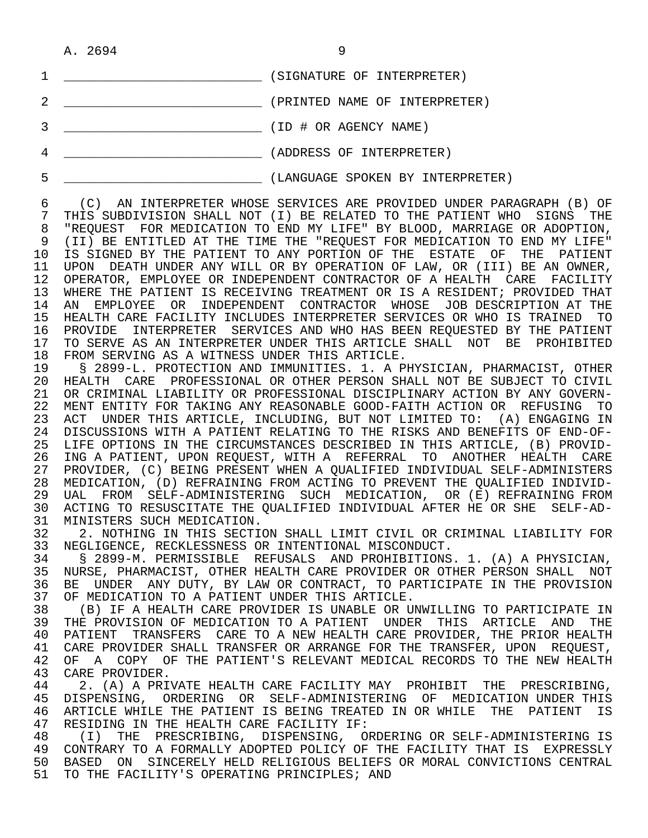| A. 2694<br>__ |  |
|---------------|--|
|---------------|--|

| (SIGNATURE OF INTERPRETER)       |
|----------------------------------|
| (PRINTED NAME OF INTERPRETER)    |
| (ID # OR AGENCY NAME)            |
| (ADDRESS OF INTERPRETER)         |
| (LANGUAGE SPOKEN BY INTERPRETER) |

6 (C) AN INTERPRETER WHOSE SERVICES ARE PROVIDED UNDER PARAGRAPH (B) OF<br>7 THIS SURDIVISION SHALL NOT (I) BE RELATED TO THE PATIENT WHO SIGNS THE 7 THIS SUBDIVISION SHALL NOT (I) BE RELATED TO THE PATIENT WHO SIGNS THE 71 THE PATIENT WHO SIGNS THE 7 8 "REQUEST FOR MEDICATION TO END MY LIFE" BY BLOOD, MARRIAGE OR ADOPTION,<br>9 (II) BE ENTITLED AT THE TIME THE "REQUEST FOR MEDICATION TO END MY LIFE" (II) BE ENTITLED AT THE TIME THE "REOUEST FOR MEDICATION TO END MY LIFE" 10 IS SIGNED BY THE PATIENT TO ANY PORTION OF THE ESTATE OF THE PATIENT<br>11 UPON DEATH UNDER ANY WILL OR BY OPERATION OF LAW, OR (III) BE AN OWNER, 11 UPON DEATH UNDER ANY WILL OR BY OPERATION OF LAW, OR (III) BE AN OWNER,<br>12 OPERATOR, EMPLOYEE OR INDEPENDENT CONTRACTOR OF A HEALTH CARE FACILITY 12 OPERATOR, EMPLOYEE OR INDEPENDENT CONTRACTOR OF A HEALTH CARE FACILITY<br>13 WHERE THE PATIENT IS RECEIVING TREATMENT OR IS A RESIDENT; PROVIDED THAT 13 WHERE THE PATIENT IS RECEIVING TREATMENT OR IS A RESIDENT; PROVIDED THAT<br>14 AN EMPLOYEE, OR INDEPENDENT, CONTRACTOR, WHOSE, JOB DESCRIPTION AT THE 14 AN EMPLOYEE OR INDEPENDENT CONTRACTOR WHOSE JOB DESCRIPTION AT THE 15 HEALTH CARE FACILITY INCLUDES INTERPRETER SERVICES OR WHO IS TRAINED TO<br>16 PROVIDE INTERPRETER SERVICES AND WHO HAS BEEN REOUESTED BY THE PATIENT 16 PROVIDE INTERPRETER SERVICES AND WHO HAS BEEN REQUESTED BY THE PATIENT 17 TO SERVE AS AN INTERPRETER UNDER THIS ARTICLE SHALL NOT BE PROHIBITED<br>18 FROM SERVING AS A WITNESS UNDER THIS ARTICLE.

18 FROM SERVING AS A WITNESS UNDER THIS ARTICLE.<br>19 S 2899-L. PROTECTION AND IMMUNITIES. 1. A P 19 § 2899-L. PROTECTION AND IMMUNITIES. 1. A PHYSICIAN, PHARMACIST, OTHER 20 HEALTH CARE PROFESSIONAL OR OTHER PERSON SHALL NOT BE SUBJECT TO CIVIL<br>21 OR CRIMINAL LIABILITY OR PROFESSIONAL DISCIPLINARY ACTION BY ANY GOVERN- 21 OR CRIMINAL LIABILITY OR PROFESSIONAL DISCIPLINARY ACTION BY ANY GOVERN- 22 MENT ENTITY FOR TAKING ANY REASONABLE GOOD-FAITH ACTION OR REFUSING TO<br>23 ACT UNDER THIS ARTICLE, INCLUDING, BUT NOT LIMITED TO: (A) ENGAGING IN 23 ACT UNDER THIS ARTICLE, INCLUDING, BUT NOT LIMITED TO:<br>24 DISCUSSIONS WITH A PATIENT RELATING TO THE RISKS AND BEN 24 DISCUSSIONS WITH A PATIENT RELATING TO THE RISKS AND BENEFITS OF END-OF-<br>25 LIFE OPTIONS IN THE CIRCUMSTANCES DESCRIBED IN THIS ARTICLE, (B) PROVID-25 LIFE OPTIONS IN THE CIRCUMSTANCES DESCRIBED IN THIS ARTICLE, (B) PROVID-<br>26 ING A PATIENT, UPON REOUEST, WITH A REFERRAL TO ANOTHER HEALTH CARE 26 ING A PATIENT, UPON REQUEST, WITH A REFERRAL TO ANOTHER HEALTH CARE<br>27 PROVIDER, (C) BEING PRESENT WHEN A OUALIFIED INDIVIDUAL SELF-ADMINISTERS 27 PROVIDER, (C) BEING PRESENT WHEN A QUALIFIED INDIVIDUAL SELF-ADMINISTERS 28 MEDICATION, (D) REFRAINING FROM ACTING TO PREVENT THE QUALIFIED INDIVID-<br>29 UAL FROM SELF-ADMINISTERING SUCH MEDICATION, OR (E) REFRAINING FROM 29 UAL FROM SELF-ADMINISTERING SUCH MEDICATION, OR (E) REFRAINING FROM<br>30 ACTING TO RESUSCITATE THE OUALIFIED INDIVIDUAL AFTER HE OR SHE SELF-AD-30 ACTING TO RESUSCITATE THE QUALIFIED INDIVIDUAL AFTER HE OR SHE SELF-AD-<br>31 MINISTERS SUCH MEDICATION.

31 MINISTERS SUCH MEDICATION.<br>32 2. NOTHING IN THIS SECTI 32 3. NOTHING IN THIS SECTION SHALL LIMIT CIVIL OR CRIMINAL LIABILITY FOR<br>33 NEGLIGENCE, RECKLESSNESS OR INTENTIONAL MISCONDUCT. 33 NEGLIGENCE, RECKLESSNESS OR INTENTIONAL MISCONDUCT.

 34 § 2899-M. PERMISSIBLE REFUSALS AND PROHIBITIONS. 1. (A) A PHYSICIAN, 35 NURSE, PHARMACIST, OTHER HEALTH CARE PROVIDER OR OTHER PERSON SHALL NOT<br>36 BE JINDER ANY DUTY, BY LAW OR CONTRACT, TO PARTICIPATE IN THE PROVISION 36 BE UNDER ANY DUTY, BY LAW OR CONTRACT, TO PARTICIPATE IN THE PROVISION<br>37 OF MEDICATION TO A PATIENT UNDER THIS ARTICLE. 37 OF MEDICATION TO A PATIENT UNDER THIS ARTICLE.<br>38 The A HEALTH CARE PROVIDER IS UNABLE OR U

38 THE A HEALTH CARE PROVIDER IS UNABLE OR UNWILLING TO PARTICIPATE IN SALL OF MEDICATION TO A PATIENT UNDER THIS ARTICLE AND THE 39 THE PROVISION OF MEDICATION TO A PATIENT UNDER THIS ARTICLE AND THE 40 PATIENT TRANSFERS CARE TO A NEW HEALTH CARE PROVIDER, THE PRIOR HEALTH 40 PATIENT TRANSFERS CARE TO A NEW HEALTH CARE PROVIDER, THE PRIOR HEALTH 41 CARE PROVIDER SHALL TRANSFER OR ARRANGE FOR THE TRANSFER, UPON REOUEST, 41 CARE PROVIDER SHALL TRANSFER OR ARRANGE FOR THE TRANSFER, UPON REQUEST,<br>42 OF A COPY OF THE PATIENT'S RELEVANT MEDICAL RECORDS TO THE NEW HEALTH 42 OF A COPY OF THE PATIENT'S RELEVANT MEDICAL RECORDS TO THE NEW HEALTH 43 CARE PROVIDER. 43 CARE PROVIDER.<br>44 2. (A) A PRI

44 2. (A) A PRIVATE HEALTH CARE FACILITY MAY PROHIBIT THE PRESCRIBING,<br>45 DISPENSING, ORDERING OR SELF-ADMINISTERING OF MEDICATION UNDER THIS 45 DISPENSING, ORDERING OR SELF-ADMINISTERING OF MEDICATION<sup>UNDER</sup>THIS<br>46 ARTICLE-WHILE-THE-PATIENT-IS-BEING-TREATED IN OR-WHILE-THE-PATIENT-IS 46 ARTICLE WHILE THE PATIENT IS BEING TREATED IN OR WHILE THE PATIENT IS<br>47 RESIDING IN THE HEALTH CARE FACILITY IF: 47 RESIDING IN THE HEALTH CARE FACILITY IF:<br>48 (I) THE PRESCRIBING, DISPENSING, O

48 (I) THE PRESCRIBING, DISPENSING, ORDERING OR SELF-ADMINISTERING IS<br>49 CONTRARY TO A FORMALLY ADOPTED POLICY OF THE FACILITY THAT IS EXPRESSLY 49 CONTRARY TO A FORMALLY ADOPTED POLICY OF THE FACILITY THAT IS EXPRESSLY<br>50 BASED ON SINCERELY HELD RELIGIOUS BELIEFS OR MORAL CONVICTIONS CENTRAL 50 BASED ON SINCERELY HELD RELIGIOUS BELIEFS OR MORAL CONVICTIONS CENTRAL<br>51 TO THE FACILITY'S OPERATING PRINCIPLES; AND TO THE FACILITY'S OPERATING PRINCIPLES; AND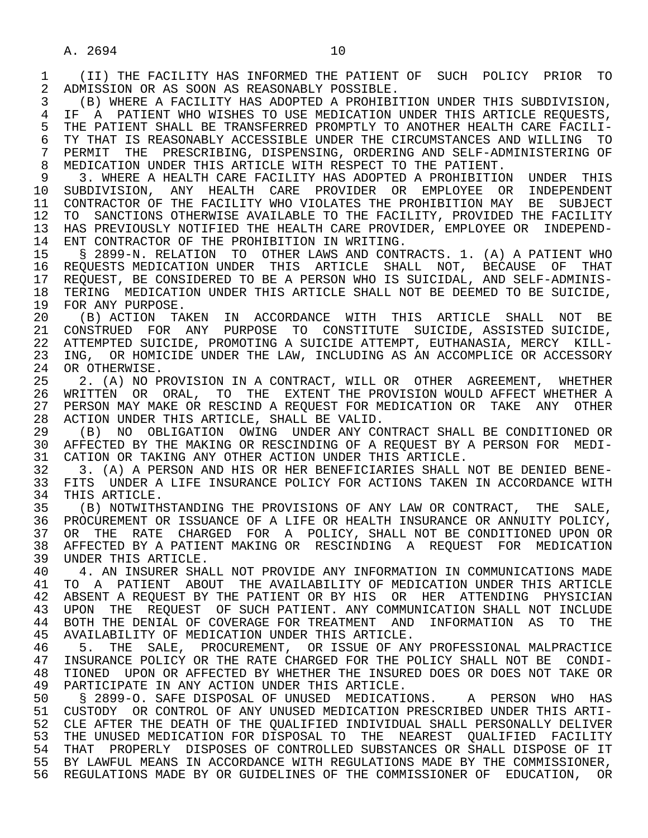2 ADMISSION OR AS SOON AS REASONABLY POSSIBLE.<br>3 (B) WHERE A FACILITY HAS ADOPTED A PROHIBIT (B) WHERE A FACILITY HAS ADOPTED A PROHIBITION UNDER THIS SUBDIVISION, 4 IF A PATIENT WHO WISHES TO USE MEDICATION UNDER THIS ARTICLE REQUESTS,<br>5 THE PATIENT SHALL BE TRANSFERRED PROMPTLY TO ANOTHER HEALTH CARE FACILI-5 THE PATIENT SHALL BE TRANSFERRED PROMPTLY TO ANOTHER HEALTH CARE FACILI-<br>6 TY THAT IS REASONABLY ACCESSIBLE UNDER THE CIRCUMSTANCES AND WILLING TO 6 TY THAT IS REASONABLY ACCESSIBLE UNDER THE CIRCUMSTANCES AND WILLING TO<br>7 PERMIT THE PRESCRIBING, DISPENSING, ORDERING AND SELF-ADMINISTERING OF 7 PERMIT THE PRESCRIBING, DISPENSING, ORDERING AND SELF-ADMINISTERING OF<br>8 MEDICATION UNDER THIS ARTICLE WITH RESPECT TO THE PATIENT 8 MEDICATION UNDER THIS ARTICLE WITH RESPECT TO THE PATIENT.<br>9 3. WHERE A HEALTH CARE FACILITY HAS ADOPTED A PROHIBITION

9 3. WHERE A HEALTH CARE FACILITY HAS ADOPTED A PROHIBITION UNDER THIS<br>10 SUBDIVISION, ANY HEALTH CARE PROVIDER OR EMPLOYEE OR INDEPENDENT 10 SUBDIVISION, ANY HEALTH CARE PROVIDER OR EMPLOYEE OR INDEPENDENT<br>11 CONTRACTOR OF THE FACILITY WHO VIOLATES THE PROHIBITION MAY BE SUBJECT 11 CONTRACTOR OF THE FACILITY WHO VIOLATES THE PROHIBITION MAY BE SUBJECT<br>12 TO SANCTIONS OTHERWISE AVAILABLE TO THE FACILITY, PROVIDED THE FACILITY 12 TO SANCTIONS OTHERWISE AVAILABLE TO THE FACILITY, PROVIDED THE FACILITY<br>13 HAS PREVIOUSLY NOTIFIED THE HEALTH CARE PROVIDER, EMPLOYEE OR INDEPEND-13 HAS PREVIOUSLY NOTIFIED THE HEALTH CARE PROVIDER, EMPLOYEE OR INDEPEND-<br>14 ENT CONTRACTOR OF THE PROHIBITION IN WRITING ENT CONTRACTOR OF THE PROHIBITION IN WRITING.

 15 § 2899-N. RELATION TO OTHER LAWS AND CONTRACTS. 1. (A) A PATIENT WHO 16 REQUESTS MEDICATION UNDER THIS ARTICLE SHALL NOT, BECAUSE OF THAT 17 REQUEST, BE CONSIDERED TO BE A PERSON WHO IS SUICIDAL, AND SELF-ADMINIS- 18 TERING MEDICATION UNDER THIS ARTICLE SHALL NOT BE DEEMED TO BE SUICIDE,<br>19 FOR ANY PURPOSE.

19 FOR ANY PURPOSE.<br>20 (B) ACTION TA 20 (B) ACTION TAKEN IN ACCORDANCE WITH THIS ARTICLE SHALL NOT BE<br>21 CONSTRUED FOR ANY PURPOSE TO CONSTITUTE SUICIDE, ASSISTED-SUICIDE, 21 CONSTRUED FOR ANY PURPOSE TO CONSTITUTE SUICIDE, ASSISTED SUICIDE, 22 ATTEMPTED SUICIDE, PROMOTING A SUICIDE ATTEMPT, EUTHANASIA, MERCY KILL-<br>23 ING, OR HOMICIDE UNDER THE LAW, INCLUDING AS AN ACCOMPLICE OR ACCESSORY ING, OR HOMICIDE UNDER THE LAW, INCLUDING AS AN ACCOMPLICE OR ACCESSORY 24 OR OTHERWISE.<br>25 2. (A) NO PI

2. (A) NO PROVISION IN A CONTRACT, WILL OR OTHER AGREEMENT, WHETHER 26 WRITTEN OR ORAL, TO THE EXTENT THE PROVISION WOULD AFFECT WHETHER A<br>27 PERSON MAY MAKE OR RESCIND A REOUEST FOR MEDICATION OR TAKE ANY OTHER 27 PERSON MAY MAKE OR RESCIND A REQUEST FOR MEDICATION OR TAKE ANY OTHER<br>28 ACTION UNDER THIS ARTICLE, SHALL BE VALID. 28 ACTION UNDER THIS ARTICLE, SHALL BE VALID.<br>29 (B) NO OBLIGATION OWING UNDER ANY CO

29 (B) NO OBLIGATION OWING UNDER ANY CONTRACT SHALL BE CONDITIONED OR<br>30 AFFECTED BY THE MAKING OR RESCINDING OF A REQUEST BY A PERSON FOR MEDI-30 AFFECTED BY THE MAKING OR RESCINDING OF A REQUEST BY A PERSON FOR MEDI-<br>31 CATION OR TAKING ANY OTHER ACTION UNDER THIS ARTICLE. 31 CATION OR TAKING ANY OTHER ACTION UNDER THIS ARTICLE.<br>32 3. (A) A PERSON AND HIS OR HER BENEFICIARIES SHALL I

32 3. (A) A PERSON AND HIS OR HER BENEFICIARIES SHALL NOT BE DENIED BENE-<br>33 FITS UNDER A LIFE INSURANCE POLICY FOR ACTIONS TAKEN IN ACCORDANCE WITH 33 FITS UNDER A LIFE INSURANCE POLICY FOR ACTIONS TAKEN IN ACCORDANCE WITH 34 THIS ARTICLE. 34 THIS ARTICLE.<br>35 (B) NOTWITH

35 (B) NOTWITHSTANDING THE PROVISIONS OF ANY LAW OR CONTRACT, THE SALE,<br>36 PROCUREMENT OR ISSUANCE OF A LIFE OR HEALTH INSURANCE OR ANNUITY POLICY. PROCUREMENT OR ISSUANCE OF A LIFE OR HEALTH INSURANCE OR ANNUITY POLICY, 37 OR THE RATE CHARGED FOR A POLICY, SHALL NOT BE CONDITIONED UPON OR 38 AFFECTED BY A PATIENT MAKING OR RESCINDING A REQUEST FOR MEDICATION<br>39 UNDER THIS ARTICLE. 39 UNDER THIS ARTICLE.<br>40 4. AN INSURER SHA

40 4. AN INSURER SHALL NOT PROVIDE ANY INFORMATION IN COMMUNICATIONS MADE<br>41 TO A PATIENT ABOUT THE AVAILABILITY OF MEDICATION UNDER THIS ARTICLE 41 TO A PATIENT ABOUT THE AVAILABILITY OF MEDICATION UNDER THIS ARTICLE<br>42 ABSENT A REOUEST BY THE PATIENT OR BY HIS OR HER ATTENDING PHYSICIAN 42 ABSENT A REQUEST BY THE PATIENT OR BY HIS OR HER ATTENDING PHYSICIAN<br>43 UPON THE REQUEST OF SUCH PATIENT, ANY COMMUNICATION SHALL NOT INCLUDE 43 UPON THE REQUEST OF SUCH PATIENT. ANY COMMUNICATION SHALL NOT INCLUDE<br>44 BOTH THE DENIAL OF COVERAGE FOR TREATMENT AND INFORMATION AS TO THE 44 BOTH THE DENIAL OF COVERAGE FOR TREATMENT AND INFORMATION AS TO THE 45 AVAILABILITY OF MEDICATION UNDER THIS ARTICLE. AVAILABILITY OF MEDICATION UNDER THIS ARTICLE.

46 5. THE SALE, PROCUREMENT, OR ISSUE OF ANY PROFESSIONAL MALPRACTICE<br>47 INSURANCE POLICY OR THE RATE CHARGED FOR THE POLICY SHALL NOT BE CONDI-47 INSURANCE POLICY OR THE RATE CHARGED FOR THE POLICY SHALL NOT BE CONDI-<br>48 TIONED UPON OR AFFECTED BY WHETHER THE INSURED DOES OR DOES NOT TAKE OR 48 TIONED UPON OR AFFECTED BY WHETHER THE INSURED DOES OR DOES NOT TAKE OR<br>49 PARTICIPATE IN ANY ACTION UNDER THIS ARTICLE. 49 PARTICIPATE IN ANY ACTION UNDER THIS ARTICLE.<br>50 \$ 2899-0. SAFE DISPOSAL OF UNUSED MEDICATI

50 § 2899-O. SAFE DISPOSAL OF UNUSED MEDICATIONS. A PERSON WHO HAS<br>51 CUSTODY OR CONTROL OF ANY UNUSED MEDICATION PRESCRIBED UNDER THIS ARTI-51 CUSTODY OR CONTROL OF ANY UNUSED MEDICATION PRESCRIBED UNDER THIS ARTI-<br>52 CLE AFTER THE DEATH OF THE OUALIFIED INDIVIDUAL SHALL PERSONALLY DELIVER 52 CLE AFTER THE DEATH OF THE QUALIFIED INDIVIDUAL SHALL PERSONALLY DELIVER<br>53 THE UNUSED MEDICATION FOR DISPOSAL TO THE NEAREST OUALIFIED FACILITY 53 THE UNUSED MEDICATION FOR DISPOSAL TO THE NEAREST QUALIFIED FACILITY<br>54 THAT PROPERLY DISPOSES OF CONTROLLED SUBSTANCES OR SHALL DISPOSE OF IT 54 THAT PROPERLY DISPOSES OF CONTROLLED SUBSTANCES OR SHALL DISPOSE OF IT<br>55 BY LAWFUL MEANS IN ACCORDANCE WITH REGULATIONS MADE BY THE COMMISSIONER, 55 BY LAWFUL MEANS IN ACCORDANCE WITH REGULATIONS MADE BY THE COMMISSIONER, 56 REGULATIONS MADE BY OR GUIDELINES OF THE COMMISSIONER OF EDUCATION, OR